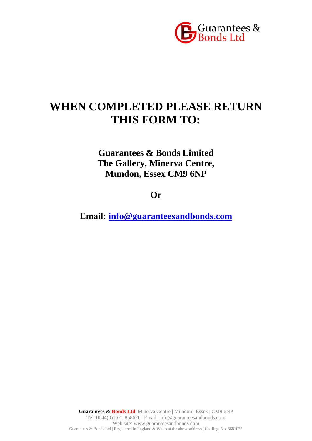

# **WHEN COMPLETED PLEASE RETURN THIS FORM TO:**

**Guarantees & Bonds Limited The Gallery, Minerva Centre, Mundon, Essex CM9 6NP**

**Or**

**Email: [info@guaranteesandbonds.com](mailto:info@guaranteesandbonds.com)**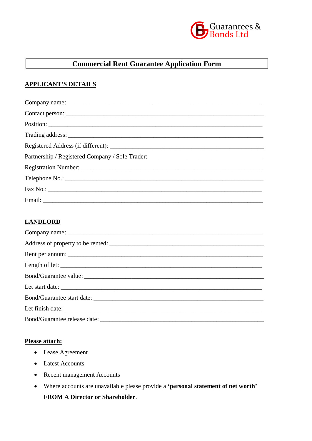

# **Commercial Rent Guarantee Application Form**

# **APPLICANT'S DETAILS**

| Contact person:                                                                   |  |  |  |  |
|-----------------------------------------------------------------------------------|--|--|--|--|
|                                                                                   |  |  |  |  |
|                                                                                   |  |  |  |  |
|                                                                                   |  |  |  |  |
| Partnership / Registered Company / Sole Trader: _________________________________ |  |  |  |  |
|                                                                                   |  |  |  |  |
| Telephone No.:                                                                    |  |  |  |  |
|                                                                                   |  |  |  |  |
|                                                                                   |  |  |  |  |

# **LANDLORD**

| Address of property to be rented: |  |  |  |  |
|-----------------------------------|--|--|--|--|
|                                   |  |  |  |  |
| Length of let:                    |  |  |  |  |
| Bond/Guarantee value:             |  |  |  |  |
|                                   |  |  |  |  |
|                                   |  |  |  |  |
|                                   |  |  |  |  |
|                                   |  |  |  |  |

### **Please attach:**

- Lease Agreement
- Latest Accounts
- Recent management Accounts
- Where accounts are unavailable please provide a **'personal statement of net worth'**

### **FROM A Director or Shareholder**.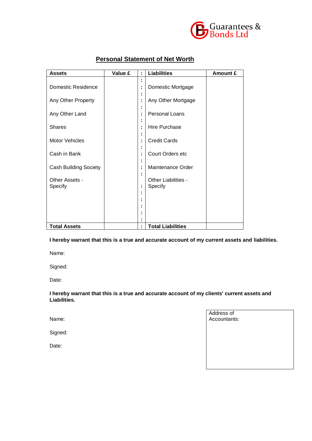

| <b>Assets</b>                | Value £ | ÷      | <b>Liabilities</b>             | Amount £ |
|------------------------------|---------|--------|--------------------------------|----------|
| Domestic Residence           |         | ٠<br>÷ | Domestic Mortgage              |          |
| Any Other Property           |         |        | Any Other Mortgage             |          |
| Any Other Land               |         |        | Personal Loans                 |          |
| <b>Shares</b>                |         |        | Hire Purchase                  |          |
| <b>Motor Vehicles</b>        |         | ÷      | <b>Credit Cards</b>            |          |
| Cash in Bank                 |         | ÷      | Court Orders etc               |          |
| <b>Cash Building Society</b> |         | ٠      | Maintenance Order              |          |
| Other Assets -<br>Specify    |         | ÷      | Other Liabilities -<br>Specify |          |
|                              |         |        |                                |          |
|                              |         |        |                                |          |
| <b>Total Assets</b>          |         | ÷      | <b>Total Liabilities</b>       |          |

## **Personal Statement of Net Worth**

**I hereby warrant that this is a true and accurate account of my current assets and liabilities.**

Name:

Signed:

Date:

**I hereby warrant that this is a true and accurate account of my clients' current assets and Liabilities.**

Name:

Signed:

Date:

Address of Accountants: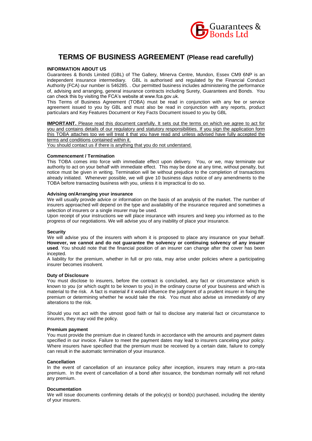

## **TERMS OF BUSINESS AGREEMENT (Please read carefully)**

#### **INFORMATION ABOUT US**

Guarantees & Bonds Limited (GBL) of The Gallery, Minerva Centre, Mundon, Essex CM9 6NP is an independent insurance intermediary. GBL is authorised and regulated by the Financial Conduct Authority (FCA) our number is 546285. . Our permitted business includes administering the performance of, advising and arranging, general insurance contracts including Surety, Guarantees and Bonds. You can check this by visiting the FCA's website at www.fca.gov.uk.

This Terms of Business Agreement (TOBA) must be read in conjunction with any fee or service agreement issued to you by GBL and must also be read in conjunction with any reports, product particulars and Key Features Document or Key Facts Document issued to you by GBL

**IMPORTANT.** Please read this document carefully. It sets out the terms on which we agree to act for you and contains details of our regulatory and statutory responsibilities. If you sign the application form this TOBA attaches too we will treat it that you have read and unless advised have fully accepted the terms and conditions contained within it.

You should contact us if there is anything that you do not understand.

#### **Commencement / Termination**

This TOBA comes into force with immediate effect upon delivery. You, or we, may terminate our authority to act on your behalf with immediate effect. This may be done at any time, without penalty, but notice must be given in writing. Termination will be without prejudice to the completion of transactions already initiated. Whenever possible, we will give 10 business days notice of any amendments to the TOBA before transacting business with you, unless it is impractical to do so.

#### **Advising on/Arranging your insurance**

We will usually provide advice or information on the basis of an analysis of the market. The number of insurers approached will depend on the type and availability of the insurance required and sometimes a selection of insurers or a single insurer may be used.

Upon receipt of your instructions we will place insurance with insurers and keep you informed as to the progress of our negotiations. We will advise you of any inability of place your insurance.

#### **Security**

We will advise you of the insurers with whom it is proposed to place any insurance on your behalf. **However, we cannot and do not guarantee the solvency or continuing solvency of any insurer used**. You should note that the financial position of an insurer can change after the cover has been incepted.

A liability for the premium, whether in full or pro rata, may arise under policies where a participating insurer becomes insolvent.

#### **Duty of Disclosure**

You must disclose to insurers, before the contract is concluded, any fact or circumstance which is known to you (or which ought to be known to you) in the ordinary course of your business and which is material to the risk. A fact is material if it would influence the judgment of a prudent insurer in fixing the premium or determining whether he would take the risk. You must also advise us immediately of any alterations to the risk.

Should you not act with the utmost good faith or fail to disclose any material fact or circumstance to insurers, they may void the policy.

#### **Premium payment**

You must provide the premium due in cleared funds in accordance with the amounts and payment dates specified in our invoice. Failure to meet the payment dates may lead to insurers canceling your policy. Where insurers have specified that the premium must be received by a certain date, failure to comply can result in the automatic termination of your insurance.

#### **Cancellation**

In the event of cancellation of an insurance policy after inception, insurers may return a pro-rata premium. In the event of cancellation of a bond after issuance, the bondsman normally will not refund any premium.

#### **Documentation**

We will issue documents confirming details of the policy(s) or bond(s) purchased, including the identity of your insurers.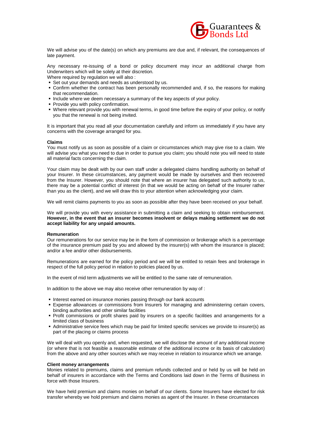

We will advise you of the date(s) on which any premiums are due and, if relevant, the consequences of late payment.

Any necessary re-issuing of a bond or policy document may incur an additional charge from Underwriters which will be solely at their discretion.

Where required by regulation we will also :

- Set out your demands and needs as understood by us.
- Confirm whether the contract has been personally recommended and, if so, the reasons for making that recommendation.
- Include where we deem necessary a summary of the key aspects of your policy.
- **Provide you with policy confirmation.**
- Where relevant provide you with renewal terms, in good time before the expiry of your policy, or notify you that the renewal is not being invited.

It is important that you read all your documentation carefully and inform us immediately if you have any concerns with the coverage arranged for you.

#### **Claims**

You must notify us as soon as possible of a claim or circumstances which may give rise to a claim. We will advise you what you need to due in order to pursue you claim; you should note you will need to state all material facts concerning the claim.

Your claim may be dealt with by our own staff under a delegated claims handling authority on behalf of your Insurer. In these circumstances, any payment would be made by ourselves and then recovered from the Insurer. However, you should note that where an insurer has delegated such authority to us, there may be a potential conflict of interest (in that we would be acting on behalf of the Insurer rather than you as the client), and we will draw this to your attention when acknowledging your claim.

We will remit claims payments to you as soon as possible after they have been received on your behalf.

We will provide you with every assistance in submitting a claim and seeking to obtain reimbursement. **However, in the event that an insurer becomes insolvent or delays making settlement we do not accept liability for any unpaid amounts.**

#### **Remuneration**

Our remunerations for our service may be in the form of commission or brokerage which is a percentage of the insurance premium paid by you and allowed by the insurer(s) with whom the insurance is placed; and/or a fee and/or other disbursements.

Remunerations are earned for the policy period and we will be entitled to retain fees and brokerage in respect of the full policy period in relation to policies placed by us.

In the event of mid term adjustments we will be entitled to the same rate of remuneration.

In addition to the above we may also receive other remuneration by way of :

- Interest earned on insurance monies passing through our bank accounts
- Expense allowances or commissions from Insurers for managing and administering certain covers, binding authorities and other similar facilities
- Profit commissions or profit shares paid by insurers on a specific facilities and arrangements for a limited class of business
- Administrative service fees which may be paid for limited specific services we provide to insurer(s) as part of the placing or claims process

We will deal with you openly and, when requested, we will disclose the amount of any additional income (or where that is not feasible a reasonable estimate of the additional income or its basis of calculation) from the above and any other sources which we may receive in relation to insurance which we arrange.

#### **Client money arrangements**

Monies related to premiums, claims and premium refunds collected and or held by us will be held on behalf of insurers in accordance with the Terms and Conditions laid down in the Terms of Business in force with those Insurers.

We have held premium and claims monies on behalf of our clients. Some Insurers have elected for risk transfer whereby we hold premium and claims monies as agent of the Insurer. In these circumstances